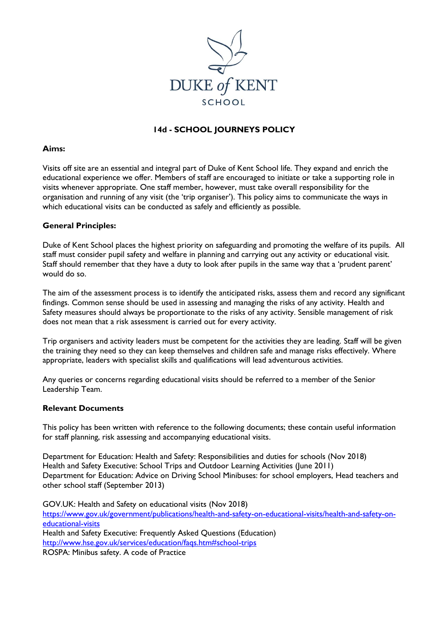

# **14d - SCHOOL JOURNEYS POLICY**

#### **Aims:**

Visits off site are an essential and integral part of Duke of Kent School life. They expand and enrich the educational experience we offer. Members of staff are encouraged to initiate or take a supporting role in visits whenever appropriate. One staff member, however, must take overall responsibility for the organisation and running of any visit (the 'trip organiser'). This policy aims to communicate the ways in which educational visits can be conducted as safely and efficiently as possible.

#### **General Principles:**

Duke of Kent School places the highest priority on safeguarding and promoting the welfare of its pupils. All staff must consider pupil safety and welfare in planning and carrying out any activity or educational visit. Staff should remember that they have a duty to look after pupils in the same way that a 'prudent parent' would do so.

The aim of the assessment process is to identify the anticipated risks, assess them and record any significant findings. Common sense should be used in assessing and managing the risks of any activity. Health and Safety measures should always be proportionate to the risks of any activity. Sensible management of risk does not mean that a risk assessment is carried out for every activity.

Trip organisers and activity leaders must be competent for the activities they are leading. Staff will be given the training they need so they can keep themselves and children safe and manage risks effectively. Where appropriate, leaders with specialist skills and qualifications will lead adventurous activities.

Any queries or concerns regarding educational visits should be referred to a member of the Senior Leadership Team.

#### **Relevant Documents**

This policy has been written with reference to the following documents; these contain useful information for staff planning, risk assessing and accompanying educational visits.

Department for Education: Health and Safety: Responsibilities and duties for schools (Nov 2018) Health and Safety Executive: School Trips and Outdoor Learning Activities (June 2011) Department for Education: Advice on Driving School Minibuses: for school employers, Head teachers and other school staff (September 2013)

GOV.UK: Health and Safety on educational visits (Nov 2018) [https://www.gov.uk/government/publications/health-and-safety-on-educational-visits/health-and-safety-on](https://www.gov.uk/government/publications/health-and-safety-on-educational-visits/health-and-safety-on-educational-visits)[educational-visits](https://www.gov.uk/government/publications/health-and-safety-on-educational-visits/health-and-safety-on-educational-visits) Health and Safety Executive: Frequently Asked Questions (Education) <http://www.hse.gov.uk/services/education/faqs.htm#school-trips> ROSPA: Minibus safety. A code of Practice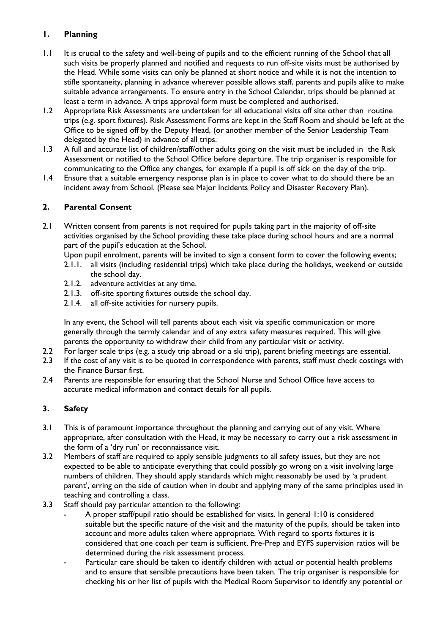# **1. Planning**

- 1.1 It is crucial to the safety and well-being of pupils and to the efficient running of the School that all such visits be properly planned and notified and requests to run off-site visits must be authorised by the Head. While some visits can only be planned at short notice and while it is not the intention to stifle spontaneity, planning in advance wherever possible allows staff, parents and pupils alike to make suitable advance arrangements. To ensure entry in the School Calendar, trips should be planned at least a term in advance. A trips approval form must be completed and authorised.
- 1.2 Appropriate Risk Assessments are undertaken for all educational visits off site other than routine trips (e.g. sport fixtures). Risk Assessment Forms are kept in the Staff Room and should be left at the Office to be signed off by the Deputy Head, (or another member of the Senior Leadership Team delegated by the Head) in advance of all trips.
- 1.3 A full and accurate list of children/staff/other adults going on the visit must be included in the Risk Assessment or notified to the School Office before departure. The trip organiser is responsible for communicating to the Office any changes, for example if a pupil is off sick on the day of the trip.
- 1.4 Ensure that a suitable emergency response plan is in place to cover what to do should there be an incident away from School. (Please see Major Incidents Policy and Disaster Recovery Plan).

## **2. Parental Consent**

2.1 Written consent from parents is not required for pupils taking part in the majority of off-site activities organised by the School providing these take place during school hours and are a normal part of the pupil's education at the School.

Upon pupil enrolment, parents will be invited to sign a consent form to cover the following events;

- 2.1.1. all visits (including residential trips) which take place during the holidays, weekend or outside the school day.
- 2.1.2. adventure activities at any time.
- 2.1.3. off-site sporting fixtures outside the school day.
- 2.1.4. all off-site activities for nursery pupils.

In any event, the School will tell parents about each visit via specific communication or more generally through the termly calendar and of any extra safety measures required. This will give parents the opportunity to withdraw their child from any particular visit or activity.

- 2.2 For larger scale trips (e.g. a study trip abroad or a ski trip), parent briefing meetings are essential.
- 2.3 If the cost of any visit is to be quoted in correspondence with parents, staff must check costings with the Finance Bursar first.
- 2.4 Parents are responsible for ensuring that the School Nurse and School Office have access to accurate medical information and contact details for all pupils.

## **3. Safety**

- 3.1 This is of paramount importance throughout the planning and carrying out of any visit. Where appropriate, after consultation with the Head, it may be necessary to carry out a risk assessment in the form of a 'dry run' or reconnaissance visit.
- 3.2 Members of staff are required to apply sensible judgments to all safety issues, but they are not expected to be able to anticipate everything that could possibly go wrong on a visit involving large numbers of children. They should apply standards which might reasonably be used by 'a prudent parent', erring on the side of caution when in doubt and applying many of the same principles used in teaching and controlling a class.
- 3.3 Staff should pay particular attention to the following:
	- A proper staff/pupil ratio should be established for visits. In general 1:10 is considered suitable but the specific nature of the visit and the maturity of the pupils, should be taken into account and more adults taken where appropriate. With regard to sports fixtures it is considered that one coach per team is sufficient. Pre-Prep and EYFS supervision ratios will be determined during the risk assessment process.
	- Particular care should be taken to identify children with actual or potential health problems and to ensure that sensible precautions have been taken. The trip organiser is responsible for checking his or her list of pupils with the Medical Room Supervisor to identify any potential or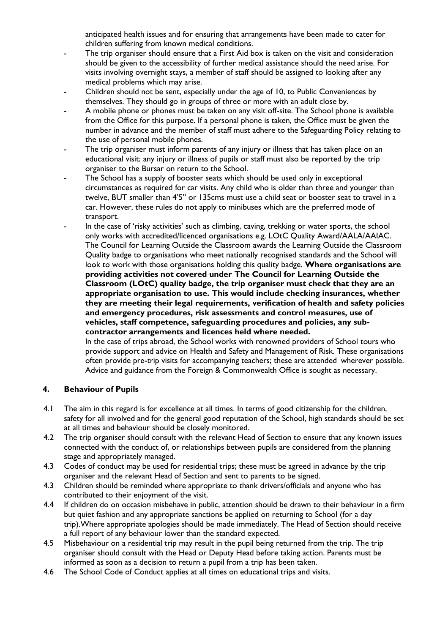anticipated health issues and for ensuring that arrangements have been made to cater for children suffering from known medical conditions.

- The trip organiser should ensure that a First Aid box is taken on the visit and consideration should be given to the accessibility of further medical assistance should the need arise. For visits involving overnight stays, a member of staff should be assigned to looking after any medical problems which may arise.
- Children should not be sent, especially under the age of 10, to Public Conveniences by themselves. They should go in groups of three or more with an adult close by.
- A mobile phone or phones must be taken on any visit off-site. The School phone is available from the Office for this purpose. If a personal phone is taken, the Office must be given the number in advance and the member of staff must adhere to the Safeguarding Policy relating to the use of personal mobile phones.
- The trip organiser must inform parents of any injury or illness that has taken place on an educational visit; any injury or illness of pupils or staff must also be reported by the trip organiser to the Bursar on return to the School.
- The School has a supply of booster seats which should be used only in exceptional circumstances as required for car visits. Any child who is older than three and younger than twelve, BUT smaller than 4'5" or 135cms must use a child seat or booster seat to travel in a car. However, these rules do not apply to minibuses which are the preferred mode of transport.
- In the case of 'risky activities' such as climbing, caving, trekking or water sports, the school only works with accredited/licenced organisations e.g. LOtC Quality Award/AALA/AAIAC. The Council for Learning Outside the Classroom awards the Learning Outside the Classroom Quality badge to organisations who meet nationally recognised standards and the School will look to work with those organisations holding this quality badge. **Where organisations are providing activities not covered under The Council for Learning Outside the Classroom (LOtC) quality badge, the trip organiser must check that they are an appropriate organisation to use. This would include checking insurances, whether they are meeting their legal requirements, verification of health and safety policies and emergency procedures, risk assessments and control measures, use of vehicles, staff competence, safeguarding procedures and policies, any subcontractor arrangements and licences held where needed.**

In the case of trips abroad, the School works with renowned providers of School tours who provide support and advice on Health and Safety and Management of Risk. These organisations often provide pre-trip visits for accompanying teachers; these are attended wherever possible. Advice and guidance from the Foreign & Commonwealth Office is sought as necessary.

#### **4. Behaviour of Pupils**

- 4.1 The aim in this regard is for excellence at all times. In terms of good citizenship for the children, safety for all involved and for the general good reputation of the School, high standards should be set at all times and behaviour should be closely monitored.
- 4.2 The trip organiser should consult with the relevant Head of Section to ensure that any known issues connected with the conduct of, or relationships between pupils are considered from the planning stage and appropriately managed.
- 4.3 Codes of conduct may be used for residential trips; these must be agreed in advance by the trip organiser and the relevant Head of Section and sent to parents to be signed.
- 4.3 Children should be reminded where appropriate to thank drivers/officials and anyone who has contributed to their enjoyment of the visit.
- 4.4 If children do on occasion misbehave in public, attention should be drawn to their behaviour in a firm but quiet fashion and any appropriate sanctions be applied on returning to School (for a day trip).Where appropriate apologies should be made immediately. The Head of Section should receive a full report of any behaviour lower than the standard expected.
- 4.5 Misbehaviour on a residential trip may result in the pupil being returned from the trip. The trip organiser should consult with the Head or Deputy Head before taking action. Parents must be informed as soon as a decision to return a pupil from a trip has been taken.
- 4.6 The School Code of Conduct applies at all times on educational trips and visits.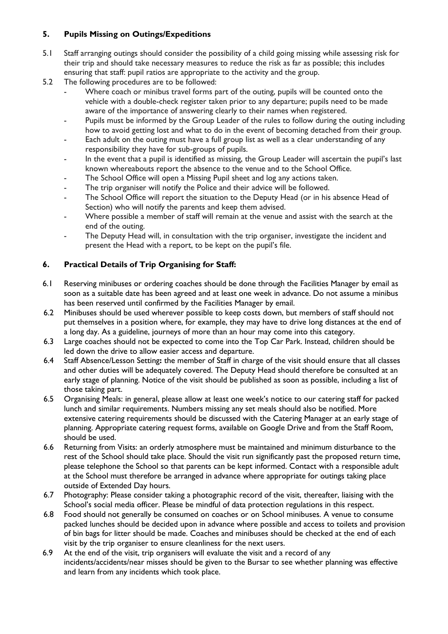# **5. Pupils Missing on Outings/Expeditions**

- 5.1 Staff arranging outings should consider the possibility of a child going missing while assessing risk for their trip and should take necessary measures to reduce the risk as far as possible; this includes ensuring that staff: pupil ratios are appropriate to the activity and the group.
- 5.2 The following procedures are to be followed:
	- Where coach or minibus travel forms part of the outing, pupils will be counted onto the vehicle with a double-check register taken prior to any departure; pupils need to be made aware of the importance of answering clearly to their names when registered.
	- Pupils must be informed by the Group Leader of the rules to follow during the outing including how to avoid getting lost and what to do in the event of becoming detached from their group.
	- Each adult on the outing must have a full group list as well as a clear understanding of any responsibility they have for sub-groups of pupils.
	- In the event that a pupil is identified as missing, the Group Leader will ascertain the pupil's last known whereabouts report the absence to the venue and to the School Office.
	- The School Office will open a Missing Pupil sheet and log any actions taken.
	- The trip organiser will notify the Police and their advice will be followed.
	- The School Office will report the situation to the Deputy Head (or in his absence Head of Section) who will notify the parents and keep them advised.
	- Where possible a member of staff will remain at the venue and assist with the search at the end of the outing.
	- The Deputy Head will, in consultation with the trip organiser, investigate the incident and present the Head with a report, to be kept on the pupil's file.

## **6. Practical Details of Trip Organising for Staff:**

- 6.1 Reserving minibuses or ordering coaches should be done through the Facilities Manager by email as soon as a suitable date has been agreed and at least one week in advance. Do not assume a minibus has been reserved until confirmed by the Facilities Manager by email.
- 6.2 Minibuses should be used wherever possible to keep costs down, but members of staff should not put themselves in a position where, for example, they may have to drive long distances at the end of a long day. As a guideline, journeys of more than an hour may come into this category.
- 6.3 Large coaches should not be expected to come into the Top Car Park. Instead, children should be led down the drive to allow easier access and departure.
- 6.4 Staff Absence/Lesson Setting**:** the member of Staff in charge of the visit should ensure that all classes and other duties will be adequately covered. The Deputy Head should therefore be consulted at an early stage of planning. Notice of the visit should be published as soon as possible, including a list of those taking part.
- 6.5 Organising Meals: in general, please allow at least one week's notice to our catering staff for packed lunch and similar requirements. Numbers missing any set meals should also be notified. More extensive catering requirements should be discussed with the Catering Manager at an early stage of planning. Appropriate catering request forms, available on Google Drive and from the Staff Room, should be used.
- 6.6 Returning from Visits: an orderly atmosphere must be maintained and minimum disturbance to the rest of the School should take place. Should the visit run significantly past the proposed return time, please telephone the School so that parents can be kept informed. Contact with a responsible adult at the School must therefore be arranged in advance where appropriate for outings taking place outside of Extended Day hours.
- 6.7 Photography: Please consider taking a photographic record of the visit, thereafter, liaising with the School's social media officer. Please be mindful of data protection regulations in this respect.
- 6.8 Food should not generally be consumed on coaches or on School minibuses. A venue to consume packed lunches should be decided upon in advance where possible and access to toilets and provision of bin bags for litter should be made. Coaches and minibuses should be checked at the end of each visit by the trip organiser to ensure cleanliness for the next users.
- 6.9 At the end of the visit, trip organisers will evaluate the visit and a record of any incidents/accidents/near misses should be given to the Bursar to see whether planning was effective and learn from any incidents which took place.